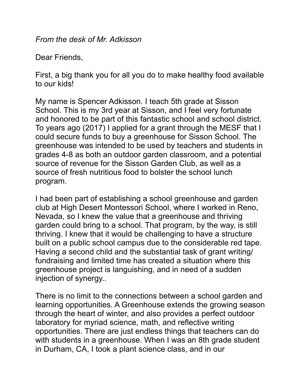*From the desk of Mr. Adkisson* 

Dear Friends,

First, a big thank you for all you do to make healthy food available to our kids!

My name is Spencer Adkisson. I teach 5th grade at Sisson School. This is my 3rd year at Sisson, and I feel very fortunate and honored to be part of this fantastic school and school district. To years ago (2017) I applied for a grant through the MESF that I could secure funds to buy a greenhouse for Sisson School. The greenhouse was intended to be used by teachers and students in grades 4-8 as both an outdoor garden classroom, and a potential source of revenue for the Sisson Garden Club, as well as a source of fresh nutritious food to bolster the school lunch program.

I had been part of establishing a school greenhouse and garden club at High Desert Montessori School, where I worked in Reno, Nevada, so I knew the value that a greenhouse and thriving garden could bring to a school. That program, by the way, is still thriving. I knew that it would be challenging to have a structure built on a public school campus due to the considerable red tape. Having a second child and the substantial task of grant writing/ fundraising and limited time has created a situation where this greenhouse project is languishing, and in need of a sudden injection of synergy..

There is no limit to the connections between a school garden and learning opportunities. A Greenhouse extends the growing season through the heart of winter, and also provides a perfect outdoor laboratory for myriad science, math, and reflective writing opportunities. There are just endless things that teachers can do with students in a greenhouse. When I was an 8th grade student in Durham, CA, I took a plant science class, and in our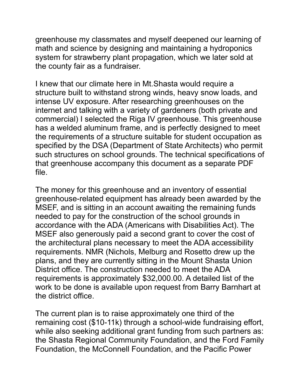greenhouse my classmates and myself deepened our learning of math and science by designing and maintaining a hydroponics system for strawberry plant propagation, which we later sold at the county fair as a fundraiser.

I knew that our climate here in Mt.Shasta would require a structure built to withstand strong winds, heavy snow loads, and intense UV exposure. After researching greenhouses on the internet and talking with a variety of gardeners (both private and commercial) I selected the Riga IV greenhouse. This greenhouse has a welded aluminum frame, and is perfectly designed to meet the requirements of a structure suitable for student occupation as specified by the DSA (Department of State Architects) who permit such structures on school grounds. The technical specifications of that greenhouse accompany this document as a separate PDF file.

The money for this greenhouse and an inventory of essential greenhouse-related equipment has already been awarded by the MSEF, and is sitting in an account awaiting the remaining funds needed to pay for the construction of the school grounds in accordance with the ADA (Americans with Disabilities Act). The MSEF also generously paid a second grant to cover the cost of the architectural plans necessary to meet the ADA accessibility requirements. NMR (Nichols, Melburg and Rosetto drew up the plans, and they are currently sitting in the Mount Shasta Union District office. The construction needed to meet the ADA requirements is approximately \$32,000.00. A detailed list of the work to be done is available upon request from Barry Barnhart at the district office.

The current plan is to raise approximately one third of the remaining cost (\$10-11k) through a school-wide fundraising effort, while also seeking additional grant funding from such partners as: the Shasta Regional Community Foundation, and the Ford Family Foundation, the McConnell Foundation, and the Pacific Power